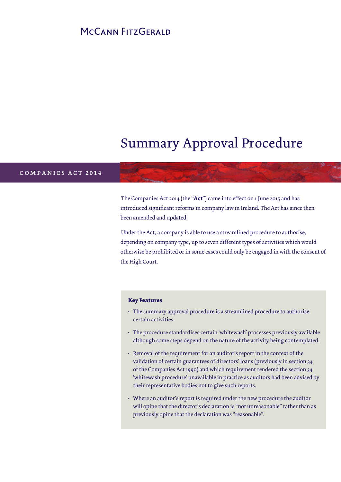# MCCANN FITZGERALD

# Summary Approval Procedure

# c o m p a n i e s b i l l 2 0 1 2 companies act 2014

The Companies Act 2014 (the "**Act**") came into effect on 1 June 2015 and has introduced significant reforms in company law in Ireland. The Act has since then been amended and updated.

Under the Act, a company is able to use a streamlined procedure to authorise, depending on company type, up to seven different types of activities which would otherwise be prohibited or in some cases could only be engaged in with the consent of the High Court.

#### **Key Features**

- The summary approval procedure is a streamlined procedure to authorise certain activities.
- The procedure standardises certain 'whitewash' processes previously available although some steps depend on the nature of the activity being contemplated.
- Removal of the requirement for an auditor's report in the context of the validation of certain guarantees of directors' loans (previously in section 34 of the Companies Act 1990) and which requirement rendered the section 34 'whitewash procedure' unavailable in practice as auditors had been advised by their representative bodies not to give such reports.
- Where an auditor's report is required under the new procedure the auditor will opine that the director's declaration is "not unreasonable" rather than as previously opine that the declaration was "reasonable".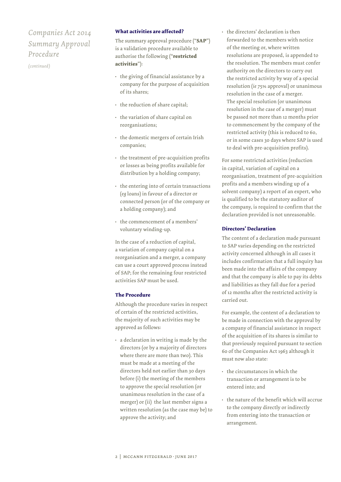## *Companies Act 2014 Summary Approval Procedure*

*(continued)*

#### **What activities are affected?**

The summary approval procedure ("**SAP**") is a validation procedure available to authorise the following ("**restricted activities**"):

- the giving of financial assistance by a company for the purpose of acquisition of its shares;
- the reduction of share capital;
- the variation of share capital on reorganisations;
- the domestic mergers of certain Irish companies;
- the treatment of pre-acquisition profits or losses as being profits available for distribution by a holding company;
- the entering into of certain transactions (*eg* loans) in favour of a director or connected person (or of the company or a holding company); and
- the commencement of a members' voluntary winding-up.

In the case of a reduction of capital, a variation of company capital on a reorganisation and a merger, a company can use a court approved process instead of SAP; for the remaining four restricted activities SAP must be used.

#### **The Procedure**

Although the procedure varies in respect of certain of the restricted activities, the majority of such activities may be approved as follows:

• a declaration in writing is made by the directors (or by a majority of directors where there are more than two). This must be made at a meeting of the directors held not earlier than 30 days before (i) the meeting of the members to approve the special resolution (or unanimous resolution in the case of a merger) or (ii) the last member signs a written resolution (as the case may be) to approve the activity; and

• the directors' declaration is then forwarded to the members with notice of the meeting or, where written resolutions are proposed, is appended to the resolution. The members must confer authority on the directors to carry out the restricted activity by way of a special resolution (*ie* 75% approval) or unanimous resolution in the case of a merger. The special resolution (or unanimous resolution in the case of a merger) must be passed not more than 12 months prior to commencement by the company of the restricted activity (this is reduced to 60, or in some cases 30 days where SAP is used to deal with pre-acquisition profits).

For some restricted activities (reduction in capital, variation of capital on a reorganisation, treatment of pre-acquisition profits and a members winding up of a solvent company) a report of an expert, who is qualified to be the statutory auditor of the company, is required to confirm that the declaration provided is not unreasonable.

#### **Directors' Declaration**

The content of a declaration made pursuant to SAP varies depending on the restricted activity concerned although in all cases it includes confirmation that a full inquiry has been made into the affairs of the company and that the company is able to pay its debts and liabilities as they fall due for a period of 12 months after the restricted activity is carried out.

For example, the content of a declaration to be made in connection with the approval by a company of financial assistance in respect of the acquisition of its shares is similar to that previously required pursuant to section 60 of the Companies Act 1963 although it must now also state:

- the circumstances in which the transaction or arrangement is to be entered into; and
- the nature of the benefit which will accrue to the company directly or indirectly from entering into the transaction or arrangement.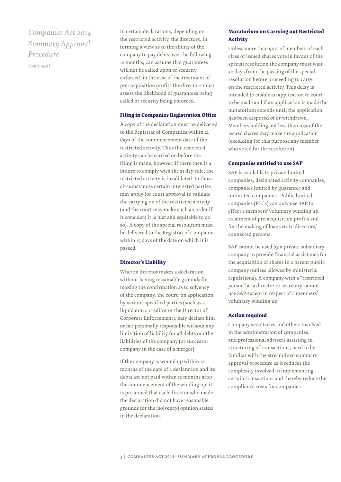### *Companies Act 2014 Summary Approval Procedure*

*(continued)*

In certain declarations, depending on the restricted activity, the directors, in forming a view as to the ability of the company to pay debts over the following 12 months, can assume that guarantees will not be called upon or security enforced, in the case of the treatment of pre-acquisition profits the directors must assess the likelihood of guarantees being called or security being enforced.

#### **Filing in Companies Registration Office**

A copy of the declaration must be delivered to the Registrar of Companies within 21 days of the commencement date of the restricted activity. Thus the restricted activity can be carried on before the filing is made; however, if there then is a failure to comply with the 21 day rule, the restricted activity is invalidated. In those circumstances certain interested parties may apply for court approval to validate the carrying on of the restricted activity (and the court may make such an order if it considers it is just and equitable to do so). A copy of the special resolution must be delivered to the Registrar of Companies within 15 days of the date on which it is passed.

#### **Director's Liability**

Where a director makes a declaration without having reasonable grounds for making the confirmation as to solvency of the company, the court, on application by various specified parties (such as a liquidator, a creditor or the Director of Corporate Enforcement), may declare him or her personally responsible without any limitation of liability for all debts or other liabilities of the company (or successor company in the case of a merger).

If the company is wound up within 12 months of the date of a declaration and its debts are not paid within 12 months after the commencement of the winding up, it is presumed that each director who made the declaration did not have reasonable grounds for the (solvency) opinion stated in the declaration.

#### **Moratorium on Carrying out Restricted Activity**

Unless more than 90% of members of each class of issued shares vote in favour of the special resolution the company must wait 30 days from the passing of the special resolution before proceeding to carry on the restricted activity. This delay is intended to enable an application to court to be made and if an application is made the moratorium extends until the application has been disposed of or withdrawn. Members holding not less than 10% of the issued shares may make the application (excluding for this purpose any member who voted for the resolution).

#### **Companies entitled to use SAP**

SAP is available to private limited companies, designated activity companies, companies limited by guarantee and unlimited companies. Public limited companies (PLCs) can only use SAP to effect a members' voluntary winding up, treatment of pre-acquisition profits and for the making of loans *etc* to directors/ connected persons.

SAP cannot be used by a private subsidiary company to provide financial assistance for the acquisition of shares in a parent public company (unless allowed by ministerial regulations). A company with a "restricted person" as a director or secretary cannot use SAP except in respect of a members' voluntary winding up.

#### **Action required**

Company secretaries and others involved in the administration of companies, and professional advisers assisting in structuring of transactions, need to be familiar with the streamlined summary approval procedure as it reduces the complexity involved in implementing certain transactions and thereby reduce the compliance costs for companies.